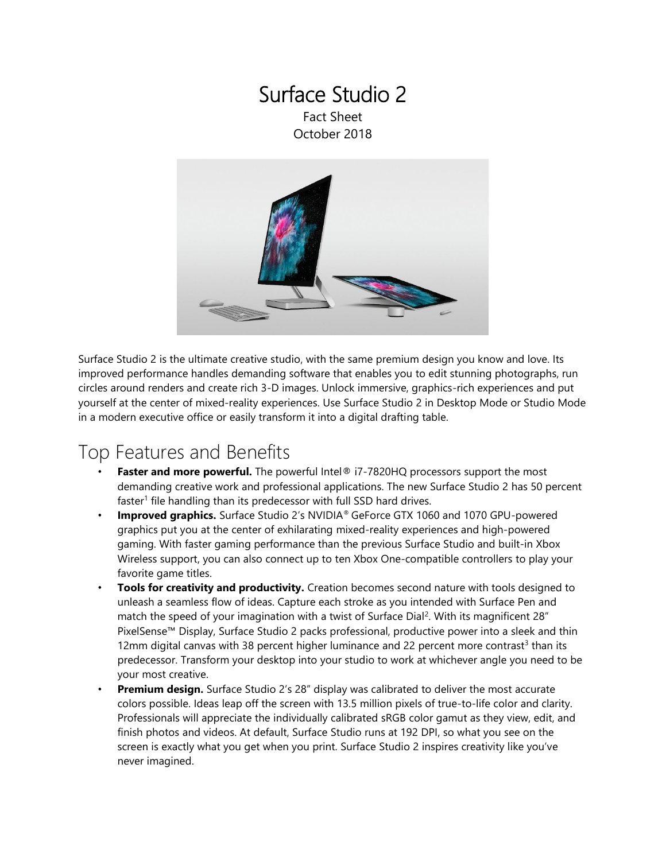### Surface Studio 2 Fact Sheet

October 2018



Surface Studio 2 is the ultimate creative studio, with the same premium design you know and love. Its improved performance handles demanding software that enables you to edit stunning photographs, run circles around renders and create rich 3-D images. Unlock immersive, graphics-rich experiences and put yourself at the center of mixed-reality experiences. Use Surface Studio 2 in Desktop Mode or Studio Mode in a modern executive office or easily transform it into a digital drafting table.

## Top Features and Benefits

- Faster and more powerful. The powerful Intel® i7-7820HQ processors support the most demanding creative work and professional applications. The new Surface Studio 2 has 50 percent faster<sup>1</sup> file handling than its predecessor with full SSD hard drives.
- **Improved graphics.** Surface Studio 2's NVIDIA® GeForce GTX 1060 and 1070 GPU-powered graphics put you at the center of exhilarating mixed-reality experiences and high-powered gaming. With faster gaming performance than the previous Surface Studio and built-in Xbox Wireless support, you can also connect up to ten Xbox One-compatible controllers to play your favorite game titles.
- **Tools for creativity and productivity.** Creation becomes second nature with tools designed to unleash a seamless flow of ideas. Capture each stroke as you intended with Surface Pen and match the speed of your imagination with a twist of Surface Dial<sup>2</sup>. With its magnificent 28" PixelSense™ Display, Surface Studio 2 packs professional, productive power into a sleek and thin 12mm digital canvas with 38 percent higher luminance and 22 percent more contrast<sup>3</sup> than its predecessor. Transform your desktop into your studio to work at whichever angle you need to be your most creative.
- **Premium design.** Surface Studio 2's 28" display was calibrated to deliver the most accurate colors possible. Ideas leap off the screen with 13.5 million pixels of true-to-life color and clarity. Professionals will appreciate the individually calibrated sRGB color gamut as they view, edit, and finish photos and videos. At default, Surface Studio runs at 192 DPI, so what you see on the screen is exactly what you get when you print. Surface Studio 2 inspires creativity like you've never imagined.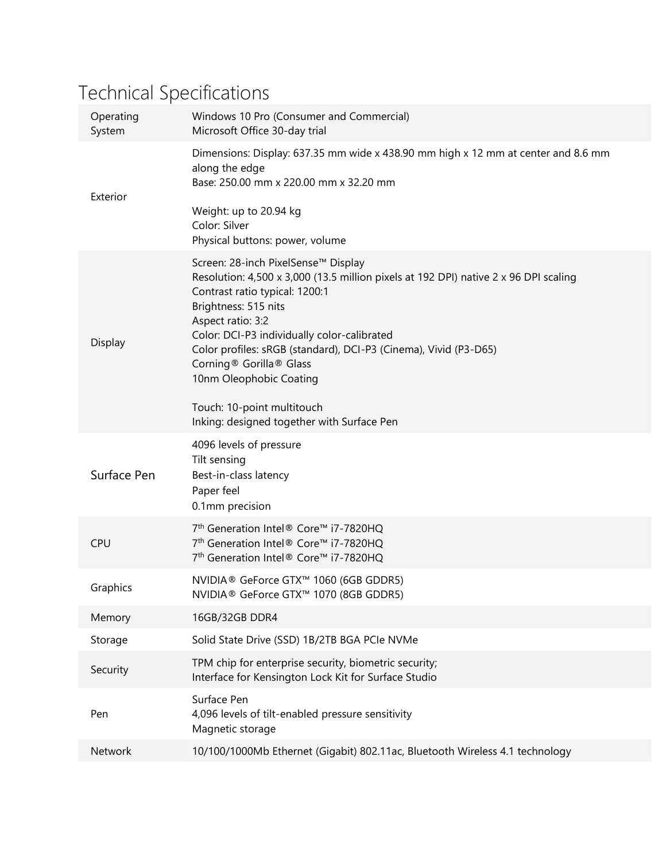# Technical Specifications

| Operating<br>System | Windows 10 Pro (Consumer and Commercial)<br>Microsoft Office 30-day trial                                                                                                                                                                                                                                                                                                                                   |
|---------------------|-------------------------------------------------------------------------------------------------------------------------------------------------------------------------------------------------------------------------------------------------------------------------------------------------------------------------------------------------------------------------------------------------------------|
| Exterior            | Dimensions: Display: 637.35 mm wide x 438.90 mm high x 12 mm at center and 8.6 mm<br>along the edge<br>Base: 250.00 mm x 220.00 mm x 32.20 mm                                                                                                                                                                                                                                                               |
|                     | Weight: up to 20.94 kg<br>Color: Silver<br>Physical buttons: power, volume                                                                                                                                                                                                                                                                                                                                  |
| Display             | Screen: 28-inch PixelSense™ Display<br>Resolution: 4,500 x 3,000 (13.5 million pixels at 192 DPI) native 2 x 96 DPI scaling<br>Contrast ratio typical: 1200:1<br>Brightness: 515 nits<br>Aspect ratio: 3:2<br>Color: DCI-P3 individually color-calibrated<br>Color profiles: sRGB (standard), DCI-P3 (Cinema), Vivid (P3-D65)<br>Corning <sup>®</sup> Gorilla <sup>®</sup> Glass<br>10nm Oleophobic Coating |
|                     | Touch: 10-point multitouch<br>Inking: designed together with Surface Pen                                                                                                                                                                                                                                                                                                                                    |
| Surface Pen         | 4096 levels of pressure<br>Tilt sensing<br>Best-in-class latency                                                                                                                                                                                                                                                                                                                                            |
|                     | Paper feel<br>0.1mm precision                                                                                                                                                                                                                                                                                                                                                                               |
| <b>CPU</b>          | 7 <sup>th</sup> Generation Intel® Core™ i7-7820HQ<br>7 <sup>th</sup> Generation Intel® Core™ i7-7820HQ<br>7 <sup>th</sup> Generation Intel® Core™ i7-7820HQ                                                                                                                                                                                                                                                 |
| Graphics            | NVIDIA® GeForce GTX™ 1060 (6GB GDDR5)<br>NVIDIA® GeForce GTX™ 1070 (8GB GDDR5)                                                                                                                                                                                                                                                                                                                              |
| Memory              | 16GB/32GB DDR4                                                                                                                                                                                                                                                                                                                                                                                              |
| Storage             | Solid State Drive (SSD) 1B/2TB BGA PCIe NVMe                                                                                                                                                                                                                                                                                                                                                                |
| Security            | TPM chip for enterprise security, biometric security;<br>Interface for Kensington Lock Kit for Surface Studio                                                                                                                                                                                                                                                                                               |
| Pen                 | Surface Pen<br>4,096 levels of tilt-enabled pressure sensitivity<br>Magnetic storage                                                                                                                                                                                                                                                                                                                        |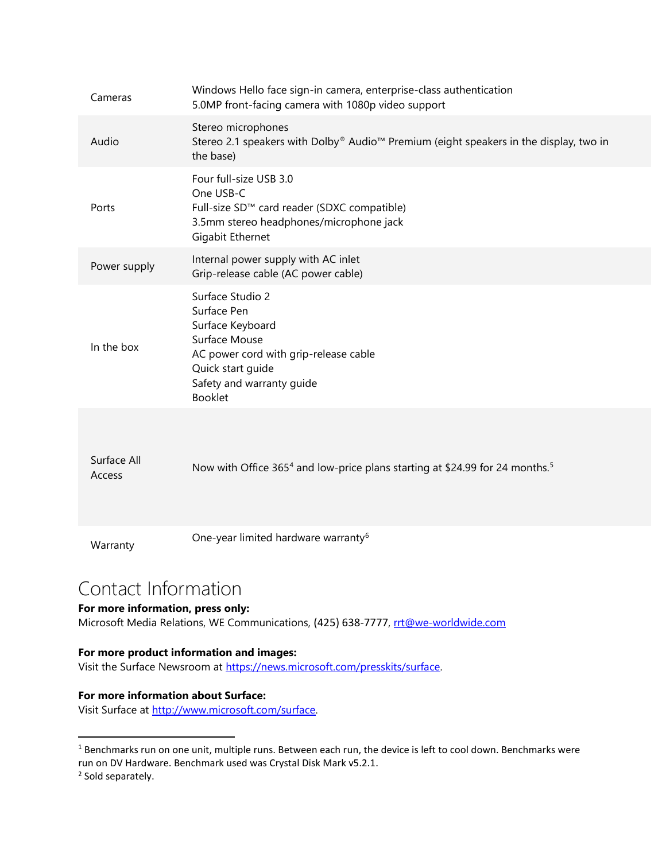| Cameras               | Windows Hello face sign-in camera, enterprise-class authentication<br>5.0MP front-facing camera with 1080p video support                                                          |
|-----------------------|-----------------------------------------------------------------------------------------------------------------------------------------------------------------------------------|
| Audio                 | Stereo microphones<br>Stereo 2.1 speakers with Dolby® Audio™ Premium (eight speakers in the display, two in<br>the base)                                                          |
| Ports                 | Four full-size USB 3.0<br>One USB-C<br>Full-size SD™ card reader (SDXC compatible)<br>3.5mm stereo headphones/microphone jack<br>Gigabit Ethernet                                 |
| Power supply          | Internal power supply with AC inlet<br>Grip-release cable (AC power cable)                                                                                                        |
| In the box            | Surface Studio 2<br>Surface Pen<br>Surface Keyboard<br>Surface Mouse<br>AC power cord with grip-release cable<br>Quick start guide<br>Safety and warranty guide<br><b>Booklet</b> |
| Surface All<br>Access | Now with Office 365 <sup>4</sup> and low-price plans starting at \$24.99 for 24 months. <sup>5</sup>                                                                              |
| Warranty              | One-year limited hardware warranty <sup>6</sup>                                                                                                                                   |

### Contact Information

#### **For more information, press only:**

Microsoft Media Relations, WE Communications, (425) 638-7777, rtt@we-worldwide.com

### **For more product information and images:**

Visit the Surface Newsroom at [https://news.microsoft.com/presskits/surface.](https://news.microsoft.com/presskits/surface)

### **For more information about Surface:**

Visit Surface at [http://www.microsoft.com/surface.](http://www.microsoft.com/surface)

<sup>2</sup> Sold separately.

 $\overline{\phantom{a}}$ 

<sup>&</sup>lt;sup>1</sup> Benchmarks run on one unit, multiple runs. Between each run, the device is left to cool down. Benchmarks were run on DV Hardware. Benchmark used was Crystal Disk Mark v5.2.1.